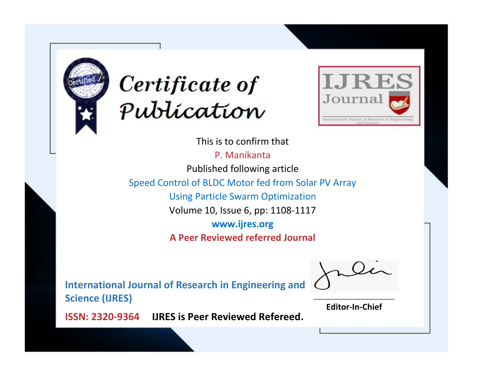



This is to confirm that

P. Manikanta Published following article Speed Control of BLDC Motor fed from Solar PV Array Using Particle Swarm Optimization Volume 10, Issue 6, pp: 1108-1117 **www.ijres.org**

**A Peer Reviewed referred Journal**

**International Journal of Research in Engineering and Science (IJRES)**

\_\_\_\_\_\_\_\_\_\_\_\_\_\_\_\_\_\_\_\_\_\_\_\_ **Editor-In-Chief**

**Journal.**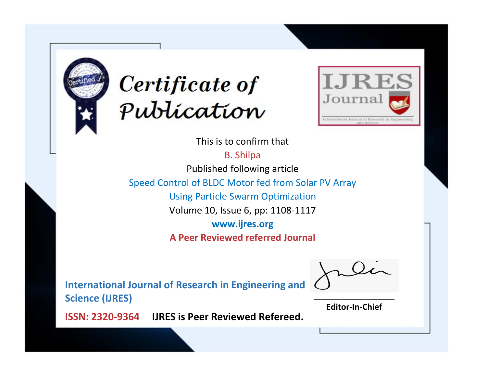



This is to confirm that B. Shilpa

Published following article

Speed Control of BLDC Motor fed from Solar PV Array

Using Particle Swarm Optimization

Volume 10, Issue 6, pp: 1108-1117

**www.ijres.org**

**A Peer Reviewed referred Journal**

**International Journal of Research in Engineering and Science (IJRES)**

\_\_\_\_\_\_\_\_\_\_\_\_\_\_\_\_\_\_\_\_\_\_\_\_ **Editor-In-Chief**

**Journal.**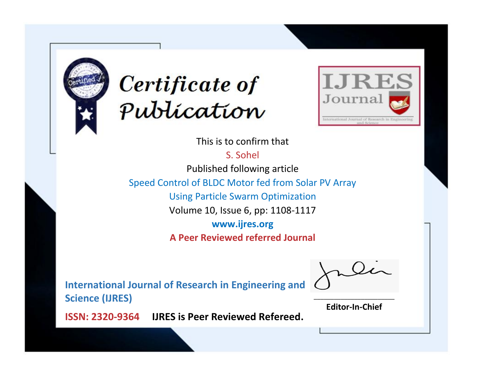



This is to confirm that

S. Sohel

Published following article

Speed Control of BLDC Motor fed from Solar PV Array

Using Particle Swarm Optimization

Volume 10, Issue 6, pp: 1108-1117

**www.ijres.org**

**A Peer Reviewed referred Journal**

**International Journal of Research in Engineering and Science (IJRES)**

\_\_\_\_\_\_\_\_\_\_\_\_\_\_\_\_\_\_\_\_\_\_\_\_ **Editor-In-Chief**

**Journal.**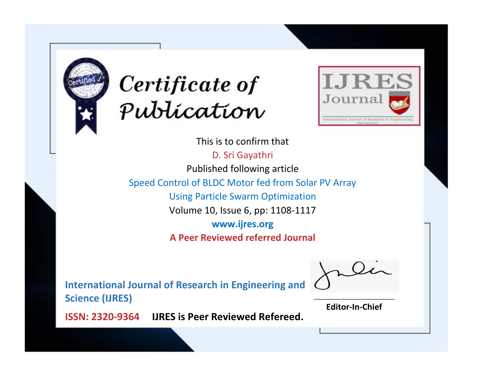



This is to confirm that D. Sri Gayathri Published following article Speed Control of BLDC Motor fed from Solar PV Array Using Particle Swarm Optimization Volume 10, Issue 6, pp: 1108-1117 **www.ijres.org A Peer Reviewed referred Journal**

**International Journal of Research in Engineering and Science (IJRES)**

\_\_\_\_\_\_\_\_\_\_\_\_\_\_\_\_\_\_\_\_\_\_\_\_ **Editor-In-Chief**

**Journal.**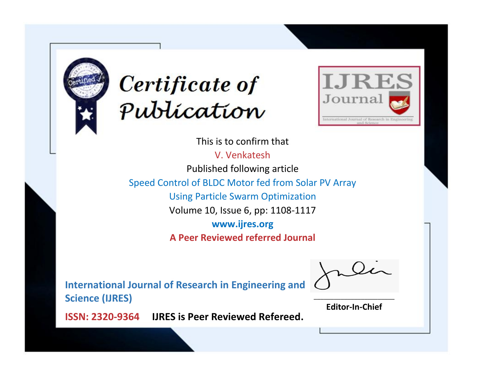



This is to confirm that

V. Venkatesh

Published following article

Speed Control of BLDC Motor fed from Solar PV Array

Using Particle Swarm Optimization

Volume 10, Issue 6, pp: 1108-1117

**www.ijres.org**

**A Peer Reviewed referred Journal**

**International Journal of Research in Engineering and Science (IJRES)**

\_\_\_\_\_\_\_\_\_\_\_\_\_\_\_\_\_\_\_\_\_\_\_\_ **Editor-In-Chief**

**Journal.**